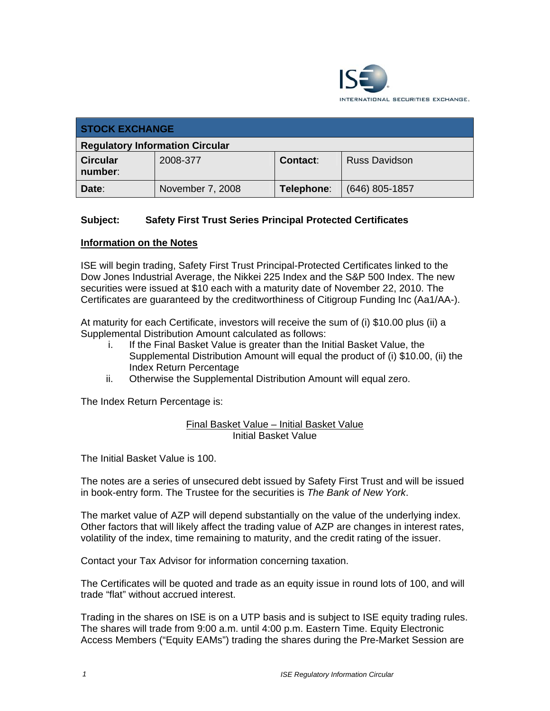

| <b>STOCK EXCHANGE</b>                  |                  |                 |                      |  |  |
|----------------------------------------|------------------|-----------------|----------------------|--|--|
| <b>Regulatory Information Circular</b> |                  |                 |                      |  |  |
| <b>Circular</b><br>number:             | 2008-377         | <b>Contact:</b> | <b>Russ Davidson</b> |  |  |
| Date:                                  | November 7, 2008 | Telephone:      | $(646)$ 805-1857     |  |  |

## **Subject: Safety First Trust Series Principal Protected Certificates**

## **Information on the Notes**

ISE will begin trading, Safety First Trust Principal-Protected Certificates linked to the Dow Jones Industrial Average, the Nikkei 225 Index and the S&P 500 Index. The new securities were issued at \$10 each with a maturity date of November 22, 2010. The Certificates are guaranteed by the creditworthiness of Citigroup Funding Inc (Aa1/AA-).

At maturity for each Certificate, investors will receive the sum of (i) \$10.00 plus (ii) a Supplemental Distribution Amount calculated as follows:

- i. If the Final Basket Value is greater than the Initial Basket Value, the Supplemental Distribution Amount will equal the product of (i) \$10.00, (ii) the Index Return Percentage
- ii. Otherwise the Supplemental Distribution Amount will equal zero.

The Index Return Percentage is:

## Final Basket Value – Initial Basket Value Initial Basket Value

The Initial Basket Value is 100.

The notes are a series of unsecured debt issued by Safety First Trust and will be issued in book-entry form. The Trustee for the securities is *The Bank of New York*.

The market value of AZP will depend substantially on the value of the underlying index. Other factors that will likely affect the trading value of AZP are changes in interest rates, volatility of the index, time remaining to maturity, and the credit rating of the issuer.

Contact your Tax Advisor for information concerning taxation.

The Certificates will be quoted and trade as an equity issue in round lots of 100, and will trade "flat" without accrued interest.

Trading in the shares on ISE is on a UTP basis and is subject to ISE equity trading rules. The shares will trade from 9:00 a.m. until 4:00 p.m. Eastern Time. Equity Electronic Access Members ("Equity EAMs") trading the shares during the Pre-Market Session are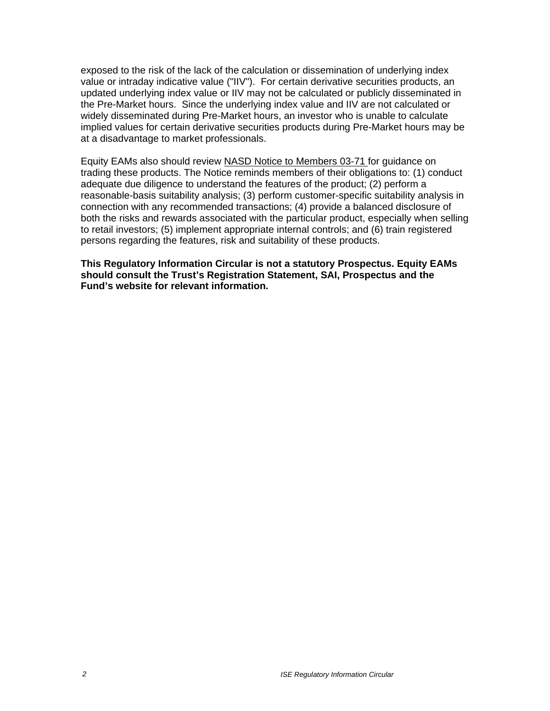exposed to the risk of the lack of the calculation or dissemination of underlying index value or intraday indicative value ("IIV"). For certain derivative securities products, an updated underlying index value or IIV may not be calculated or publicly disseminated in the Pre-Market hours. Since the underlying index value and IIV are not calculated or widely disseminated during Pre-Market hours, an investor who is unable to calculate implied values for certain derivative securities products during Pre-Market hours may be at a disadvantage to market professionals.

Equity EAMs also should review NASD Notice to Members 03-71 for guidance on trading these products. The Notice reminds members of their obligations to: (1) conduct adequate due diligence to understand the features of the product; (2) perform a reasonable-basis suitability analysis; (3) perform customer-specific suitability analysis in connection with any recommended transactions; (4) provide a balanced disclosure of both the risks and rewards associated with the particular product, especially when selling to retail investors; (5) implement appropriate internal controls; and (6) train registered persons regarding the features, risk and suitability of these products.

**This Regulatory Information Circular is not a statutory Prospectus. Equity EAMs should consult the Trust's Registration Statement, SAI, Prospectus and the Fund's website for relevant information.**